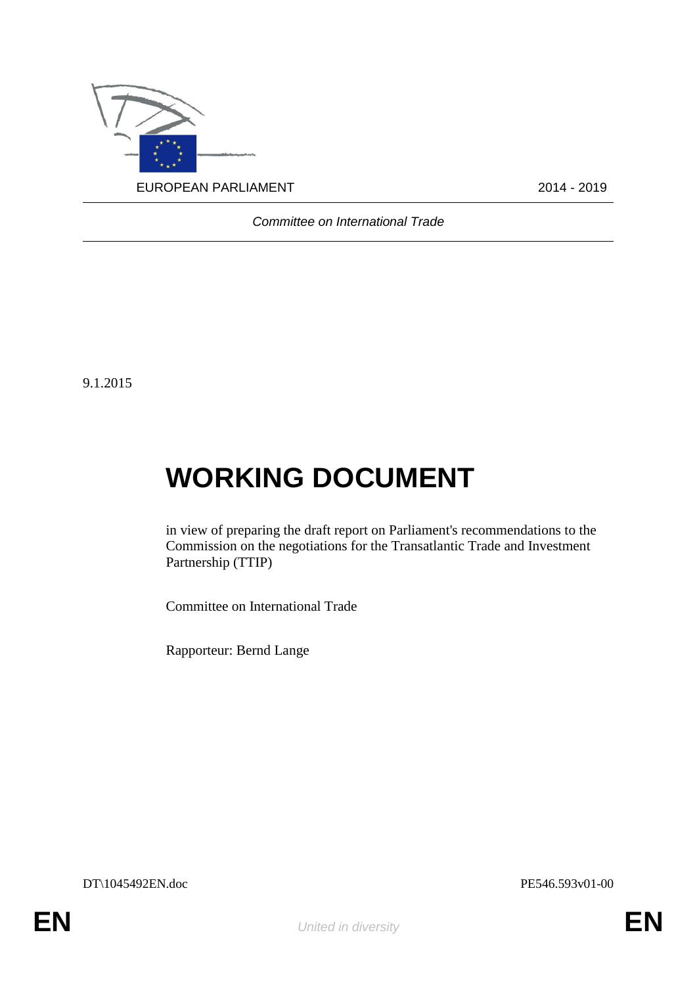

*Committee on International Trade*

9.1.2015

# **WORKING DOCUMENT**

in view of preparing the draft report on Parliament's recommendations to the Commission on the negotiations for the Transatlantic Trade and Investment Partnership (TTIP)

Committee on International Trade

Rapporteur: Bernd Lange

DT\1045492EN.doc PE546.593v01-00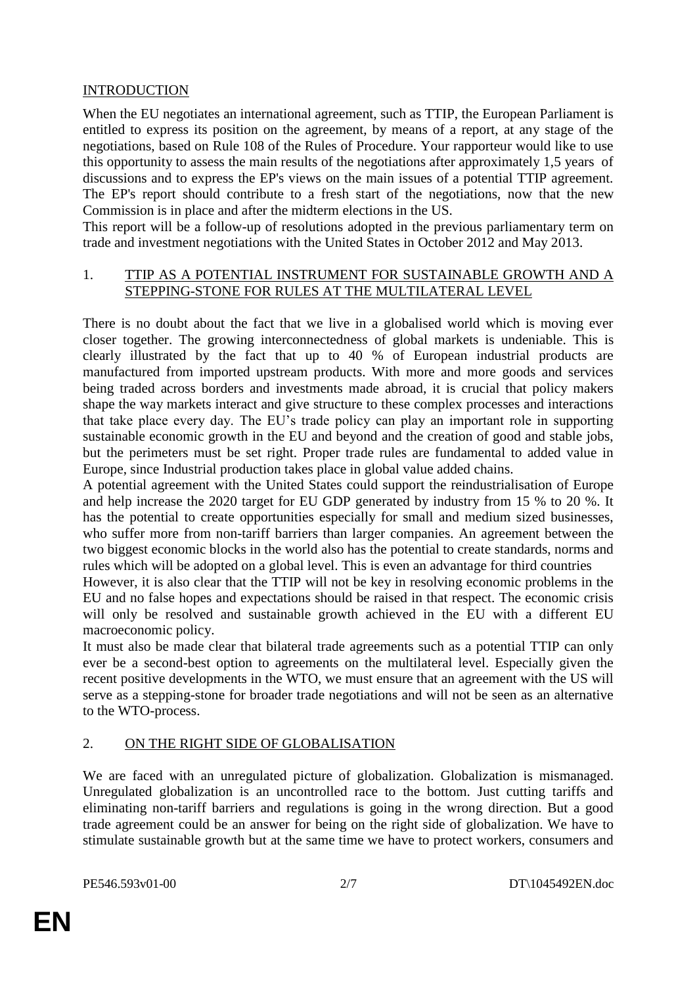## INTRODUCTION

When the EU negotiates an international agreement, such as TTIP, the European Parliament is entitled to express its position on the agreement, by means of a report, at any stage of the negotiations, based on Rule 108 of the Rules of Procedure. Your rapporteur would like to use this opportunity to assess the main results of the negotiations after approximately 1,5 years of discussions and to express the EP's views on the main issues of a potential TTIP agreement. The EP's report should contribute to a fresh start of the negotiations, now that the new Commission is in place and after the midterm elections in the US.

This report will be a follow-up of resolutions adopted in the previous parliamentary term on trade and investment negotiations with the United States in October 2012 and May 2013.

#### 1. TTIP AS A POTENTIAL INSTRUMENT FOR SUSTAINABLE GROWTH AND A STEPPING-STONE FOR RULES AT THE MULTILATERAL LEVEL

There is no doubt about the fact that we live in a globalised world which is moving ever closer together. The growing interconnectedness of global markets is undeniable. This is clearly illustrated by the fact that up to 40 % of European industrial products are manufactured from imported upstream products. With more and more goods and services being traded across borders and investments made abroad, it is crucial that policy makers shape the way markets interact and give structure to these complex processes and interactions that take place every day. The EU's trade policy can play an important role in supporting sustainable economic growth in the EU and beyond and the creation of good and stable jobs, but the perimeters must be set right. Proper trade rules are fundamental to added value in Europe, since Industrial production takes place in global value added chains.

A potential agreement with the United States could support the reindustrialisation of Europe and help increase the 2020 target for EU GDP generated by industry from 15 % to 20 %. It has the potential to create opportunities especially for small and medium sized businesses, who suffer more from non-tariff barriers than larger companies. An agreement between the two biggest economic blocks in the world also has the potential to create standards, norms and rules which will be adopted on a global level. This is even an advantage for third countries

However, it is also clear that the TTIP will not be key in resolving economic problems in the EU and no false hopes and expectations should be raised in that respect. The economic crisis will only be resolved and sustainable growth achieved in the EU with a different EU macroeconomic policy.

It must also be made clear that bilateral trade agreements such as a potential TTIP can only ever be a second-best option to agreements on the multilateral level. Especially given the recent positive developments in the WTO, we must ensure that an agreement with the US will serve as a stepping-stone for broader trade negotiations and will not be seen as an alternative to the WTO-process.

### 2. ON THE RIGHT SIDE OF GLOBALISATION

We are faced with an unregulated picture of globalization. Globalization is mismanaged. Unregulated globalization is an uncontrolled race to the bottom. Just cutting tariffs and eliminating non-tariff barriers and regulations is going in the wrong direction. But a good trade agreement could be an answer for being on the right side of globalization. We have to stimulate sustainable growth but at the same time we have to protect workers, consumers and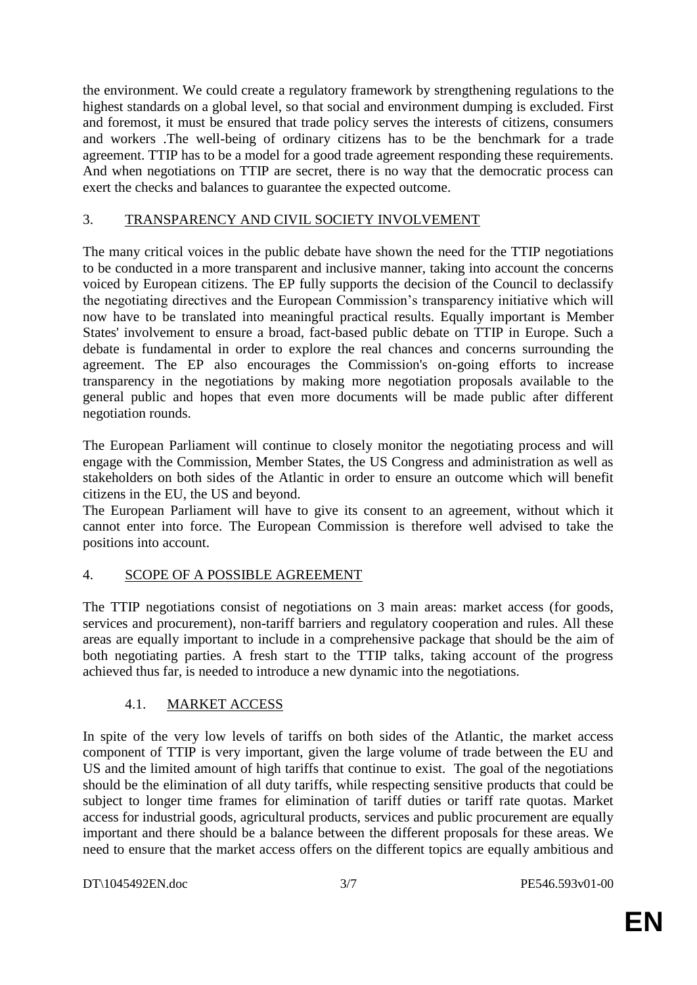the environment. We could create a regulatory framework by strengthening regulations to the highest standards on a global level, so that social and environment dumping is excluded. First and foremost, it must be ensured that trade policy serves the interests of citizens, consumers and workers .The well-being of ordinary citizens has to be the benchmark for a trade agreement. TTIP has to be a model for a good trade agreement responding these requirements. And when negotiations on TTIP are secret, there is no way that the democratic process can exert the checks and balances to guarantee the expected outcome.

## 3. TRANSPARENCY AND CIVIL SOCIETY INVOLVEMENT

The many critical voices in the public debate have shown the need for the TTIP negotiations to be conducted in a more transparent and inclusive manner, taking into account the concerns voiced by European citizens. The EP fully supports the decision of the Council to declassify the negotiating directives and the European Commission's transparency initiative which will now have to be translated into meaningful practical results. Equally important is Member States' involvement to ensure a broad, fact-based public debate on TTIP in Europe. Such a debate is fundamental in order to explore the real chances and concerns surrounding the agreement. The EP also encourages the Commission's on-going efforts to increase transparency in the negotiations by making more negotiation proposals available to the general public and hopes that even more documents will be made public after different negotiation rounds.

The European Parliament will continue to closely monitor the negotiating process and will engage with the Commission, Member States, the US Congress and administration as well as stakeholders on both sides of the Atlantic in order to ensure an outcome which will benefit citizens in the EU, the US and beyond.

The European Parliament will have to give its consent to an agreement, without which it cannot enter into force. The European Commission is therefore well advised to take the positions into account.

### 4. SCOPE OF A POSSIBLE AGREEMENT

The TTIP negotiations consist of negotiations on 3 main areas: market access (for goods, services and procurement), non-tariff barriers and regulatory cooperation and rules. All these areas are equally important to include in a comprehensive package that should be the aim of both negotiating parties. A fresh start to the TTIP talks, taking account of the progress achieved thus far, is needed to introduce a new dynamic into the negotiations.

# 4.1. MARKET ACCESS

In spite of the very low levels of tariffs on both sides of the Atlantic, the market access component of TTIP is very important, given the large volume of trade between the EU and US and the limited amount of high tariffs that continue to exist. The goal of the negotiations should be the elimination of all duty tariffs, while respecting sensitive products that could be subject to longer time frames for elimination of tariff duties or tariff rate quotas. Market access for industrial goods, agricultural products, services and public procurement are equally important and there should be a balance between the different proposals for these areas. We need to ensure that the market access offers on the different topics are equally ambitious and

DT\1045492EN.doc 3/7 PE546.593v01-00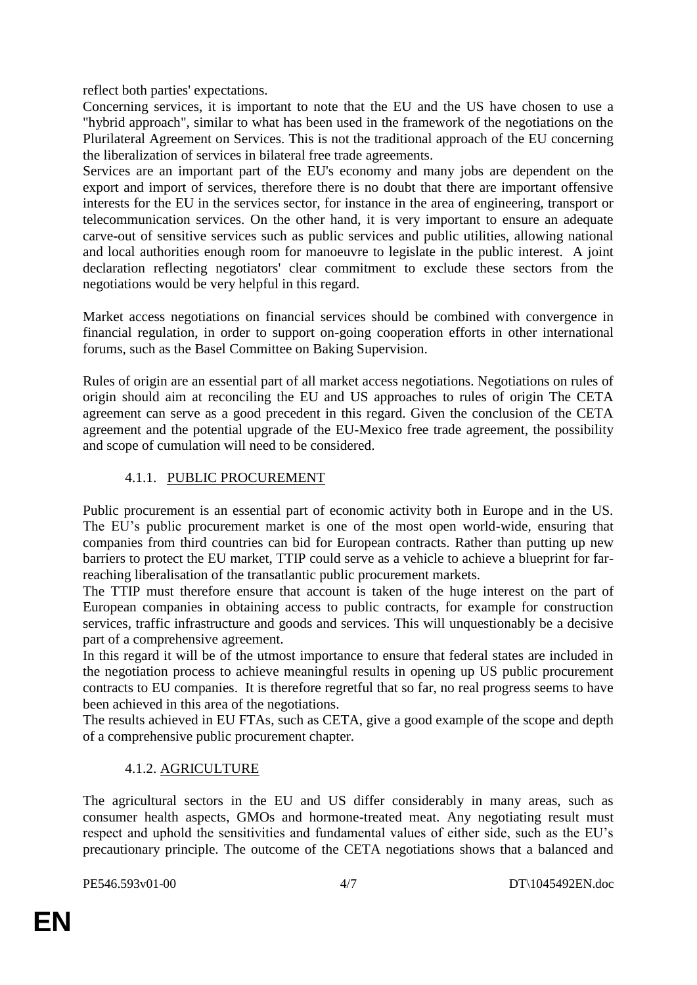reflect both parties' expectations.

Concerning services, it is important to note that the EU and the US have chosen to use a "hybrid approach", similar to what has been used in the framework of the negotiations on the Plurilateral Agreement on Services. This is not the traditional approach of the EU concerning the liberalization of services in bilateral free trade agreements.

Services are an important part of the EU's economy and many jobs are dependent on the export and import of services, therefore there is no doubt that there are important offensive interests for the EU in the services sector, for instance in the area of engineering, transport or telecommunication services. On the other hand, it is very important to ensure an adequate carve-out of sensitive services such as public services and public utilities, allowing national and local authorities enough room for manoeuvre to legislate in the public interest. A joint declaration reflecting negotiators' clear commitment to exclude these sectors from the negotiations would be very helpful in this regard.

Market access negotiations on financial services should be combined with convergence in financial regulation, in order to support on-going cooperation efforts in other international forums, such as the Basel Committee on Baking Supervision.

Rules of origin are an essential part of all market access negotiations. Negotiations on rules of origin should aim at reconciling the EU and US approaches to rules of origin The CETA agreement can serve as a good precedent in this regard. Given the conclusion of the CETA agreement and the potential upgrade of the EU-Mexico free trade agreement, the possibility and scope of cumulation will need to be considered.

# 4.1.1. PUBLIC PROCUREMENT

Public procurement is an essential part of economic activity both in Europe and in the US. The EU's public procurement market is one of the most open world-wide, ensuring that companies from third countries can bid for European contracts. Rather than putting up new barriers to protect the EU market, TTIP could serve as a vehicle to achieve a blueprint for farreaching liberalisation of the transatlantic public procurement markets.

The TTIP must therefore ensure that account is taken of the huge interest on the part of European companies in obtaining access to public contracts, for example for construction services, traffic infrastructure and goods and services. This will unquestionably be a decisive part of a comprehensive agreement.

In this regard it will be of the utmost importance to ensure that federal states are included in the negotiation process to achieve meaningful results in opening up US public procurement contracts to EU companies. It is therefore regretful that so far, no real progress seems to have been achieved in this area of the negotiations.

The results achieved in EU FTAs, such as CETA, give a good example of the scope and depth of a comprehensive public procurement chapter.

# 4.1.2. AGRICULTURE

The agricultural sectors in the EU and US differ considerably in many areas, such as consumer health aspects, GMOs and hormone-treated meat. Any negotiating result must respect and uphold the sensitivities and fundamental values of either side, such as the EU's precautionary principle. The outcome of the CETA negotiations shows that a balanced and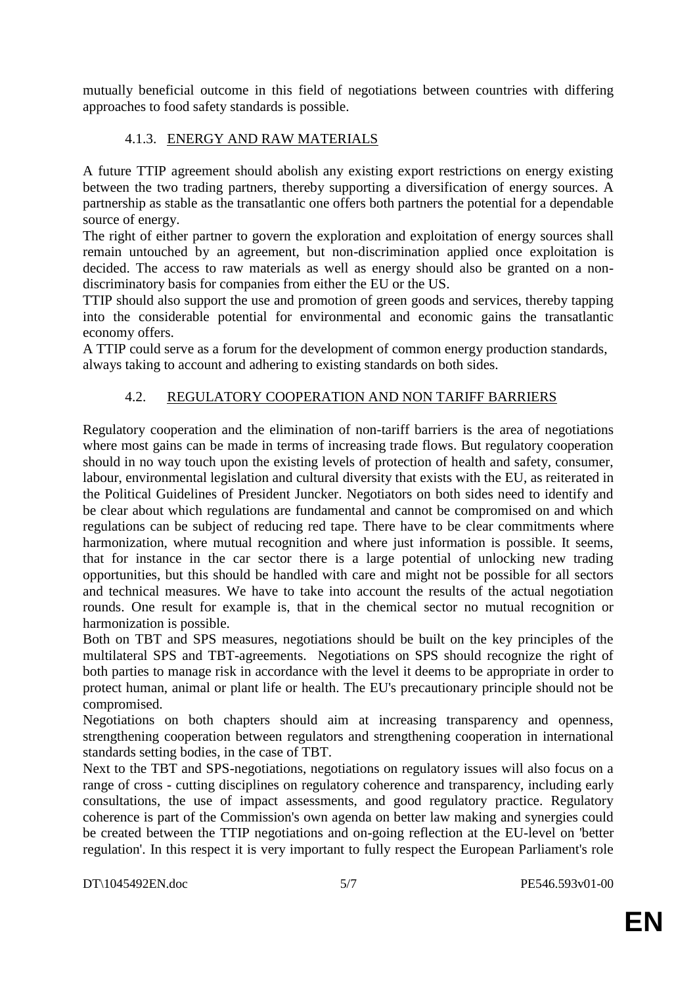mutually beneficial outcome in this field of negotiations between countries with differing approaches to food safety standards is possible.

## 4.1.3. ENERGY AND RAW MATERIALS

A future TTIP agreement should abolish any existing export restrictions on energy existing between the two trading partners, thereby supporting a diversification of energy sources. A partnership as stable as the transatlantic one offers both partners the potential for a dependable source of energy.

The right of either partner to govern the exploration and exploitation of energy sources shall remain untouched by an agreement, but non-discrimination applied once exploitation is decided. The access to raw materials as well as energy should also be granted on a nondiscriminatory basis for companies from either the EU or the US.

TTIP should also support the use and promotion of green goods and services, thereby tapping into the considerable potential for environmental and economic gains the transatlantic economy offers.

A TTIP could serve as a forum for the development of common energy production standards, always taking to account and adhering to existing standards on both sides.

## 4.2. REGULATORY COOPERATION AND NON TARIFF BARRIERS

Regulatory cooperation and the elimination of non-tariff barriers is the area of negotiations where most gains can be made in terms of increasing trade flows. But regulatory cooperation should in no way touch upon the existing levels of protection of health and safety, consumer, labour, environmental legislation and cultural diversity that exists with the EU, as reiterated in the Political Guidelines of President Juncker. Negotiators on both sides need to identify and be clear about which regulations are fundamental and cannot be compromised on and which regulations can be subject of reducing red tape. There have to be clear commitments where harmonization, where mutual recognition and where just information is possible. It seems, that for instance in the car sector there is a large potential of unlocking new trading opportunities, but this should be handled with care and might not be possible for all sectors and technical measures. We have to take into account the results of the actual negotiation rounds. One result for example is, that in the chemical sector no mutual recognition or harmonization is possible.

Both on TBT and SPS measures, negotiations should be built on the key principles of the multilateral SPS and TBT-agreements. Negotiations on SPS should recognize the right of both parties to manage risk in accordance with the level it deems to be appropriate in order to protect human, animal or plant life or health. The EU's precautionary principle should not be compromised.

Negotiations on both chapters should aim at increasing transparency and openness, strengthening cooperation between regulators and strengthening cooperation in international standards setting bodies, in the case of TBT.

Next to the TBT and SPS-negotiations, negotiations on regulatory issues will also focus on a range of cross - cutting disciplines on regulatory coherence and transparency, including early consultations, the use of impact assessments, and good regulatory practice. Regulatory coherence is part of the Commission's own agenda on better law making and synergies could be created between the TTIP negotiations and on-going reflection at the EU-level on 'better regulation'. In this respect it is very important to fully respect the European Parliament's role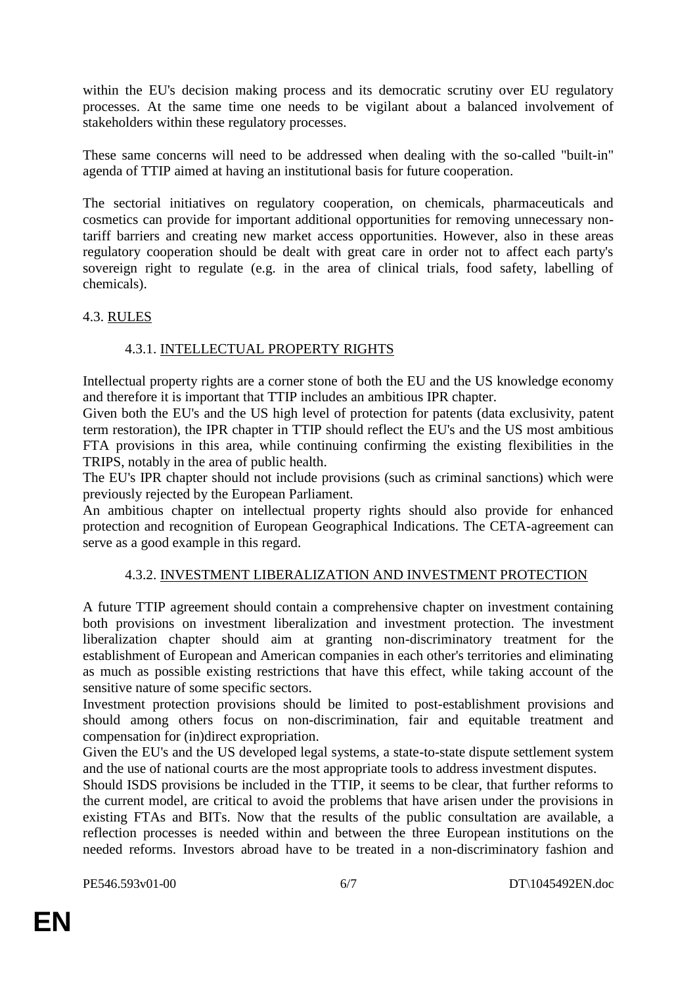within the EU's decision making process and its democratic scrutiny over EU regulatory processes. At the same time one needs to be vigilant about a balanced involvement of stakeholders within these regulatory processes.

These same concerns will need to be addressed when dealing with the so-called "built-in" agenda of TTIP aimed at having an institutional basis for future cooperation.

The sectorial initiatives on regulatory cooperation, on chemicals, pharmaceuticals and cosmetics can provide for important additional opportunities for removing unnecessary nontariff barriers and creating new market access opportunities. However, also in these areas regulatory cooperation should be dealt with great care in order not to affect each party's sovereign right to regulate (e.g. in the area of clinical trials, food safety, labelling of chemicals).

### 4.3. RULES

# 4.3.1. INTELLECTUAL PROPERTY RIGHTS

Intellectual property rights are a corner stone of both the EU and the US knowledge economy and therefore it is important that TTIP includes an ambitious IPR chapter.

Given both the EU's and the US high level of protection for patents (data exclusivity, patent term restoration), the IPR chapter in TTIP should reflect the EU's and the US most ambitious FTA provisions in this area, while continuing confirming the existing flexibilities in the TRIPS, notably in the area of public health.

The EU's IPR chapter should not include provisions (such as criminal sanctions) which were previously rejected by the European Parliament.

An ambitious chapter on intellectual property rights should also provide for enhanced protection and recognition of European Geographical Indications. The CETA-agreement can serve as a good example in this regard.

### 4.3.2. INVESTMENT LIBERALIZATION AND INVESTMENT PROTECTION

A future TTIP agreement should contain a comprehensive chapter on investment containing both provisions on investment liberalization and investment protection. The investment liberalization chapter should aim at granting non-discriminatory treatment for the establishment of European and American companies in each other's territories and eliminating as much as possible existing restrictions that have this effect, while taking account of the sensitive nature of some specific sectors.

Investment protection provisions should be limited to post-establishment provisions and should among others focus on non-discrimination, fair and equitable treatment and compensation for (in)direct expropriation.

Given the EU's and the US developed legal systems, a state-to-state dispute settlement system and the use of national courts are the most appropriate tools to address investment disputes.

Should ISDS provisions be included in the TTIP, it seems to be clear, that further reforms to the current model, are critical to avoid the problems that have arisen under the provisions in existing FTAs and BITs. Now that the results of the public consultation are available, a reflection processes is needed within and between the three European institutions on the needed reforms. Investors abroad have to be treated in a non-discriminatory fashion and